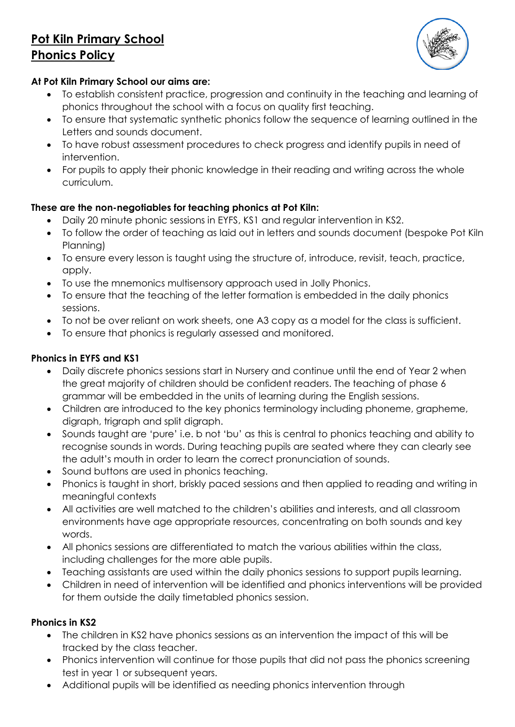# **Pot Kiln Primary School Phonics Policy**



#### **At Pot Kiln Primary School our aims are:**

- To establish consistent practice, progression and continuity in the teaching and learning of phonics throughout the school with a focus on quality first teaching.
- To ensure that systematic synthetic phonics follow the sequence of learning outlined in the Letters and sounds document.
- To have robust assessment procedures to check progress and identify pupils in need of intervention.
- For pupils to apply their phonic knowledge in their reading and writing across the whole curriculum.

# **These are the non-negotiables for teaching phonics at Pot Kiln:**

- Daily 20 minute phonic sessions in EYFS, KS1 and regular intervention in KS2.
- To follow the order of teaching as laid out in letters and sounds document (bespoke Pot Kiln Planning)
- To ensure every lesson is taught using the structure of, introduce, revisit, teach, practice, apply.
- To use the mnemonics multisensory approach used in Jolly Phonics.
- To ensure that the teaching of the letter formation is embedded in the daily phonics sessions.
- To not be over reliant on work sheets, one A3 copy as a model for the class is sufficient.
- To ensure that phonics is regularly assessed and monitored.

# **Phonics in EYFS and KS1**

- Daily discrete phonics sessions start in Nursery and continue until the end of Year 2 when the great majority of children should be confident readers. The teaching of phase 6 grammar will be embedded in the units of learning during the English sessions.
- Children are introduced to the key phonics terminology including phoneme, grapheme, digraph, trigraph and split digraph.
- Sounds taught are 'pure' i.e. b not 'bu' as this is central to phonics teaching and ability to recognise sounds in words. During teaching pupils are seated where they can clearly see the adult's mouth in order to learn the correct pronunciation of sounds.
- Sound buttons are used in phonics teaching.
- Phonics is taught in short, briskly paced sessions and then applied to reading and writing in meaningful contexts
- All activities are well matched to the children's abilities and interests, and all classroom environments have age appropriate resources, concentrating on both sounds and key words.
- All phonics sessions are differentiated to match the various abilities within the class, including challenges for the more able pupils.
- Teaching assistants are used within the daily phonics sessions to support pupils learning.
- Children in need of intervention will be identified and phonics interventions will be provided for them outside the daily timetabled phonics session.

# **Phonics in KS2**

- The children in KS2 have phonics sessions as an intervention the impact of this will be tracked by the class teacher.
- Phonics intervention will continue for those pupils that did not pass the phonics screening test in year 1 or subsequent years.
- Additional pupils will be identified as needing phonics intervention through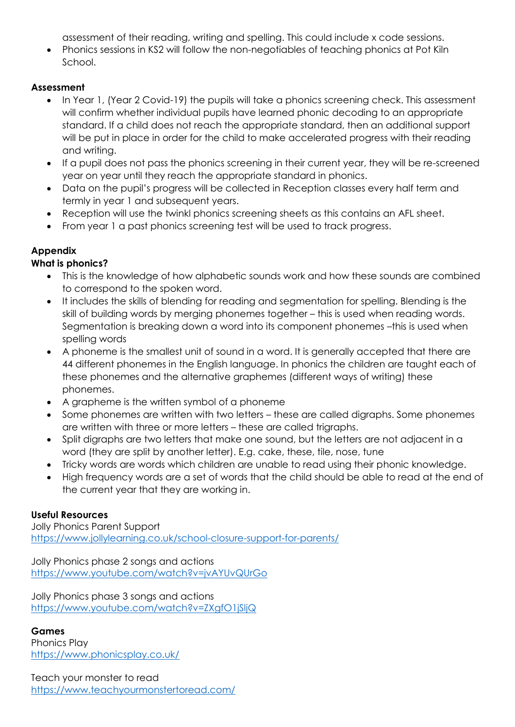assessment of their reading, writing and spelling. This could include x code sessions.

 Phonics sessions in KS2 will follow the non-negotiables of teaching phonics at Pot Kiln School.

#### **Assessment**

- In Year 1, (Year 2 Covid-19) the pupils will take a phonics screening check. This assessment will confirm whether individual pupils have learned phonic decoding to an appropriate standard. If a child does not reach the appropriate standard, then an additional support will be put in place in order for the child to make accelerated progress with their reading and writing.
- If a pupil does not pass the phonics screening in their current year, they will be re-screened year on year until they reach the appropriate standard in phonics.
- Data on the pupil's progress will be collected in Reception classes every half term and termly in year 1 and subsequent years.
- Reception will use the twinkl phonics screening sheets as this contains an AFL sheet.
- From year 1 a past phonics screening test will be used to track progress.

# **Appendix**

#### **What is phonics?**

- This is the knowledge of how alphabetic sounds work and how these sounds are combined to correspond to the spoken word.
- It includes the skills of blending for reading and segmentation for spelling. Blending is the skill of building words by merging phonemes together – this is used when reading words. Segmentation is breaking down a word into its component phonemes -this is used when spelling words
- A phoneme is the smallest unit of sound in a word. It is generally accepted that there are 44 different phonemes in the English language. In phonics the children are taught each of these phonemes and the alternative graphemes (different ways of writing) these phonemes.
- A grapheme is the written symbol of a phoneme
- Some phonemes are written with two letters these are called digraphs. Some phonemes are written with three or more letters – these are called trigraphs.
- Split digraphs are two letters that make one sound, but the letters are not adjacent in a word (they are split by another letter). E.g. cake, these, tile, nose, tune
- Tricky words are words which children are unable to read using their phonic knowledge.
- High frequency words are a set of words that the child should be able to read at the end of the current year that they are working in.

#### **Useful Resources**

Jolly Phonics Parent Support <https://www.jollylearning.co.uk/school-closure-support-for-parents/>

Jolly Phonics phase 2 songs and actions <https://www.youtube.com/watch?v=jvAYUvQUrGo>

Jolly Phonics phase 3 songs and actions <https://www.youtube.com/watch?v=ZXgfO1jSljQ>

#### **Games**

Phonics Play <https://www.phonicsplay.co.uk/>

Teach your monster to read <https://www.teachyourmonstertoread.com/>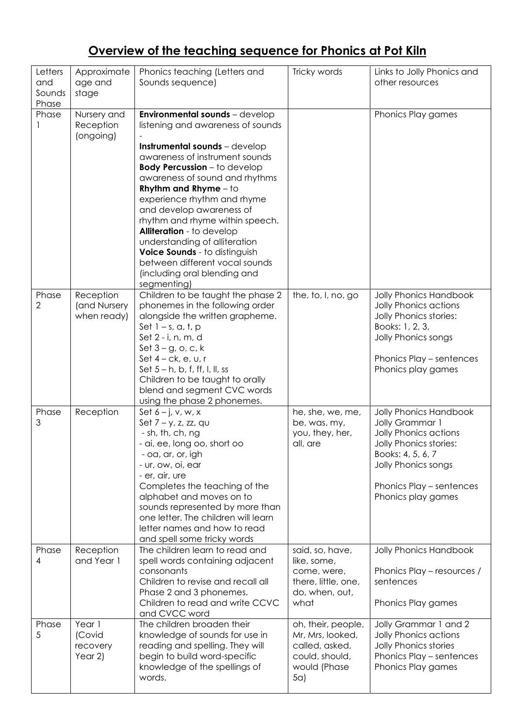# **Overview of the teaching sequence for Phonics at Pot Kiln**

| Letters<br>and<br>Sounds<br>Phase | Approximate<br>age and<br>stage           | Phonics teaching (Letters and<br>Sounds sequence)                                                                                                                                                                                                                                                                                                                                                                                                                                                                        | Tricky words                                                                                      | Links to Jolly Phonics and<br>other resources                                                                                                                                                     |
|-----------------------------------|-------------------------------------------|--------------------------------------------------------------------------------------------------------------------------------------------------------------------------------------------------------------------------------------------------------------------------------------------------------------------------------------------------------------------------------------------------------------------------------------------------------------------------------------------------------------------------|---------------------------------------------------------------------------------------------------|---------------------------------------------------------------------------------------------------------------------------------------------------------------------------------------------------|
| Phase                             | Nursery and<br>Reception<br>(ongoing)     | Environmental sounds - develop<br>listening and awareness of sounds<br>Instrumental sounds - develop<br>awareness of instrument sounds<br><b>Body Percussion</b> - to develop<br>awareness of sound and rhythms<br>Rhythm and Rhyme $-$ to<br>experience rhythm and rhyme<br>and develop awareness of<br>rhythm and rhyme within speech.<br>Alliteration - to develop<br>understanding of alliteration<br>Voice Sounds - to distinguish<br>between different vocal sounds<br>(including oral blending and<br>segmenting) |                                                                                                   | Phonics Play games                                                                                                                                                                                |
| Phase<br>$\overline{2}$           | Reception<br>(and Nursery<br>when ready)  | Children to be taught the phase 2<br>phonemes in the following order<br>alongside the written grapheme.<br>Set $1 - s$ , a, t, p<br>Set 2 - i, n, m, d<br>Set $3 - g$ , o, c, k<br>Set $4 - ck$ , e, $u$ , r<br>Set $5 - h$ , b, f, ff, l, ll, ss<br>Children to be taught to orally<br>blend and segment CVC words<br>using the phase 2 phonemes.                                                                                                                                                                       | the, to, I, no, go                                                                                | <b>Jolly Phonics Handbook</b><br>Jolly Phonics actions<br>Jolly Phonics stories:<br>Books: 1, 2, 3,<br>Jolly Phonics songs<br>Phonics Play - sentences<br>Phonics play games                      |
| Phase<br>3                        | Reception                                 | Set $6 - j$ , v, w, x<br>Set $7 - y$ , z, zz, qu<br>- sh, th, ch, ng<br>- ai, ee, long oo, short oo<br>- oa, ar, or, igh<br>- ur, ow, oi, ear<br>- er, air, ure<br>Completes the teaching of the<br>alphabet and moves on to<br>sounds represented by more than<br>one letter. The children will learn<br>letter names and how to read<br>and spell some tricky words                                                                                                                                                    | he, she, we, me,<br>be, was, my,<br>you, they, her,<br>all, are                                   | <b>Jolly Phonics Handbook</b><br>Jolly Grammar 1<br>Jolly Phonics actions<br>Jolly Phonics stories:<br>Books: 4, 5, 6, 7<br>Jolly Phonics songs<br>Phonics Play - sentences<br>Phonics play games |
| Phase<br>4                        | Reception<br>and Year 1                   | The children learn to read and<br>spell words containing adjacent<br>consonants<br>Children to revise and recall all<br>Phase 2 and 3 phonemes.<br>Children to read and write CCVC<br>and CVCC word                                                                                                                                                                                                                                                                                                                      | said, so, have,<br>like, some,<br>come, were,<br>there, little, one,<br>do, when, out,<br>what    | <b>Jolly Phonics Handbook</b><br>Phonics Play - resources /<br>sentences<br>Phonics Play games                                                                                                    |
| Phase<br>5                        | Year 1<br>(Covid<br>recovery<br>Year $2)$ | The children broaden their<br>knowledge of sounds for use in<br>reading and spelling. They will<br>begin to build word-specific<br>knowledge of the spellings of<br>words.                                                                                                                                                                                                                                                                                                                                               | oh, their, people,<br>Mr, Mrs, looked,<br>called, asked,<br>could, should,<br>would (Phase<br>5a) | Jolly Grammar 1 and 2<br><b>Jolly Phonics actions</b><br><b>Jolly Phonics stories</b><br>Phonics Play - sentences<br>Phonics Play games                                                           |